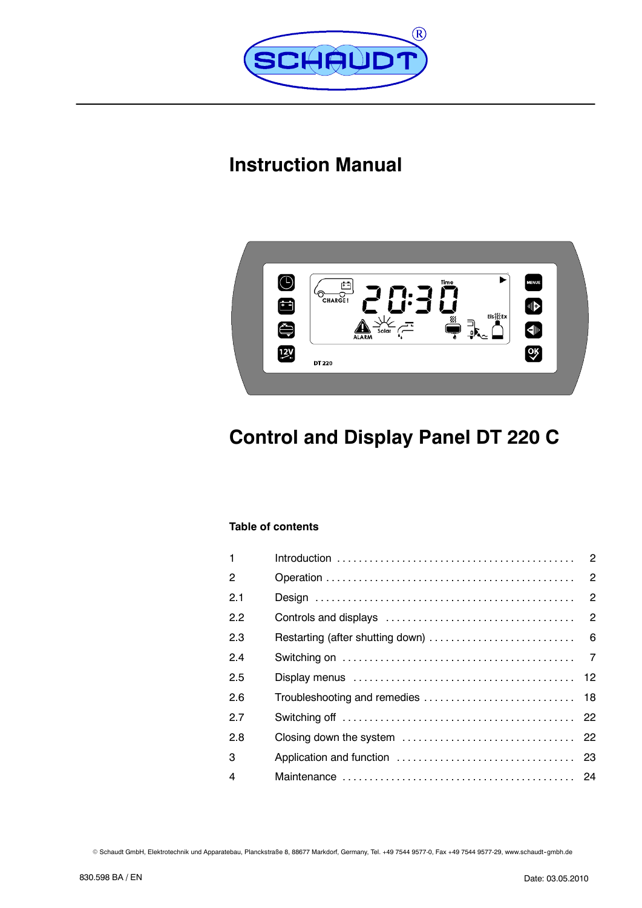

# **Instruction Manual**



# **Control and Display Panel DT 220 C**

# **Table of contents**

| 1              |  |
|----------------|--|
| $\overline{2}$ |  |
| 2.1            |  |
| 2.2            |  |
| 2.3            |  |
| 2.4            |  |
| 2.5            |  |
| 2.6            |  |
| 2.7            |  |
| 2.8            |  |
| 3              |  |
| $\overline{4}$ |  |

© Schaudt GmbH, Elektrotechnik und Apparatebau, Planckstraße 8, 88677 Markdorf, Germany, Tel. +49 7544 9577-0, Fax +49 7544 9577-29, www.schaudt-gmbh.de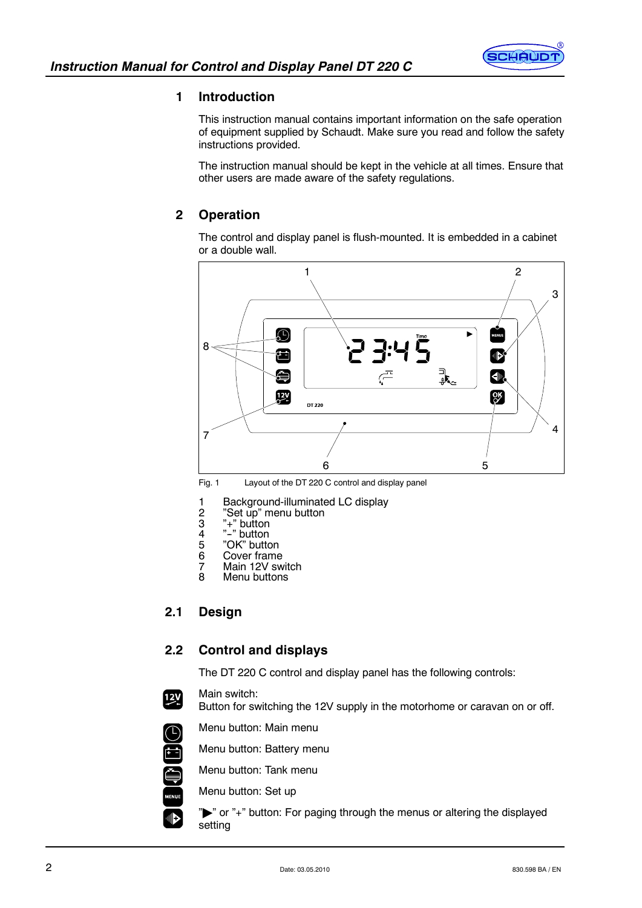

# **1 Introduction**

This instruction manual contains important information on the safe operation of equipment supplied by Schaudt. Make sure you read and follow the safety instructions provided.

The instruction manual should be kept in the vehicle at all times. Ensure that other users are made aware of the safety regulations.

# **2 Operation**

The control and display panel is flush-mounted. It is embedded in a cabinet or a double wall.



Fig. 1 Layout of the DT 220 C control and display panel

- 1 Background-illuminated LC display<br>2 "Set up" menu button
- 2 "Set up" menu button<br>3 "+" button
- $\overline{3}$  "+" button<br>4 "-" button
- 4 "-" button<br>5 "OK" butto
- 5 "OK" button<br>6 Cover frame
- 6 Cover frame<br>7 Main 12V sw
- 7 Main 12V switch<br>8 Menu buttons
- Menu buttons

# **2.1 Design**

# **2.2 Control and displays**

The DT 220 C control and display panel has the following controls:

Main switch:

 $\left[\frac{12V}{12}\right]$ 

O ENGINE

 $\blacksquare$ 

Button for switching the 12V supply in the motorhome or caravan on or off.

- Menu button: Main menu
	- Menu button: Battery menu

Menu button: Tank menu

Menu button: Set up

">" or "+" button: For paging through the menus or altering the displayed setting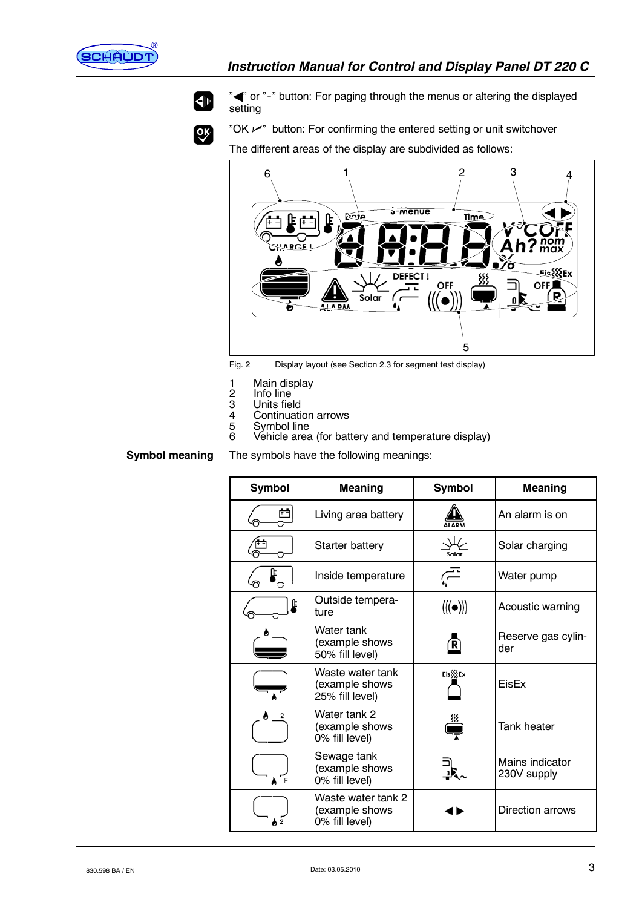



 $Q_{\mathbf{K}}$ 

" $\blacktriangleright$ " or "-" button: For paging through the menus or altering the displayed setting

"OK  $\nu$ " button: For confirming the entered setting or unit switchover

The different areas of the display are subdivided as follows:



Fig. 2 Display layout (see Section 2.3 for segment test display)

- 
- 1 Main display<br>2 Info line<br>3 Units field 2 Info line
- 3 Units field
- 4 Continuation arrows<br>5 Symbol line
- 5 Symbol line<br>6 Vehicle area
- Vehicle area (for battery and temperature display)

**Symbol meaning**

The symbols have the following meanings:

| Symbol | <b>Meaning</b>                                         | Symbol                            | <b>Meaning</b>                 |
|--------|--------------------------------------------------------|-----------------------------------|--------------------------------|
|        | Living area battery                                    |                                   | An alarm is on                 |
|        | Starter battery                                        | Solar                             | Solar charging                 |
|        | Inside temperature                                     | ⊂⊤                                | Water pump                     |
| Œ      | Outside tempera-<br>ture                               | $\langle (\!(\bullet)\!) \rangle$ | Acoustic warning               |
|        | Water tank<br>(example shows<br>50% fill level)        |                                   | Reserve gas cylin-<br>der      |
|        | Waste water tank<br>(example shows<br>25% fill level)  | Eis{{{Ex                          | FisFx                          |
| 2      | Water tank 2<br>(example shows<br>0% fill level)       |                                   | <b>Tank heater</b>             |
|        | Sewage tank<br>(example shows<br>0% fill level)        |                                   | Mains indicator<br>230V supply |
|        | Waste water tank 2<br>(example shows<br>0% fill level) |                                   | Direction arrows               |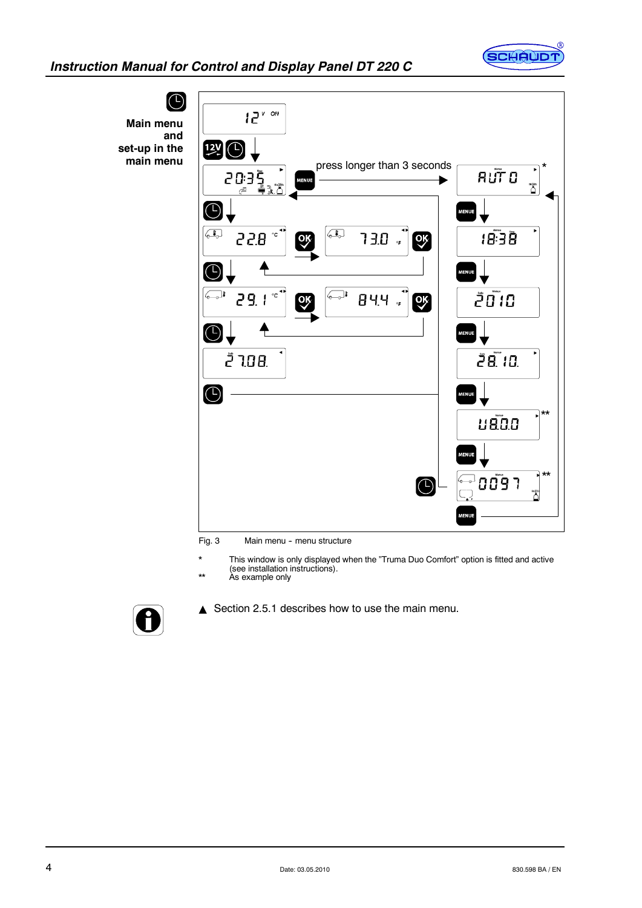



Fig. 3 Main menu - menu structure

- \* This window is only displayed when the "Truma Duo Comfort" option is fitted and active (see installation instructions). \*\* As example only
- 



Section 2.5.1 describes how to use the main menu.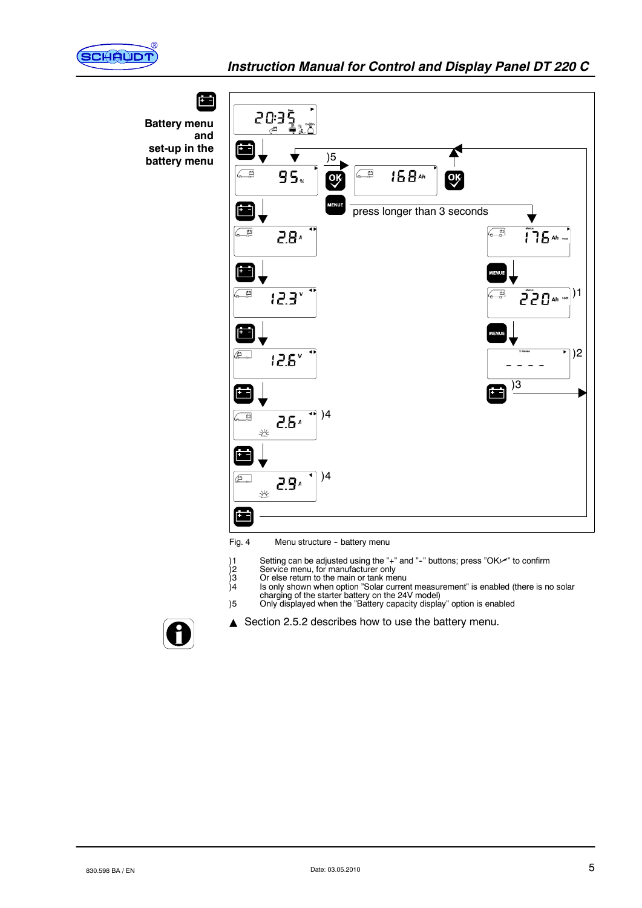



Fig. 4 Menu structure - battery menu

- )1 Setting can be adjusted using the "+" and "-" buttons; press "OK✔" to confirm<br>)2 Service menu, for manufacturer only
- 
- )3 Or else return to the main or tank menu
- )4 Is only shown when option "Solar current measurement" is enabled (there is no solar charging of the starter battery on the 24V model) )5 Only displayed when the "Battery capacity display" option is enabled



 $\triangle$  Section 2.5.2 describes how to use the battery menu.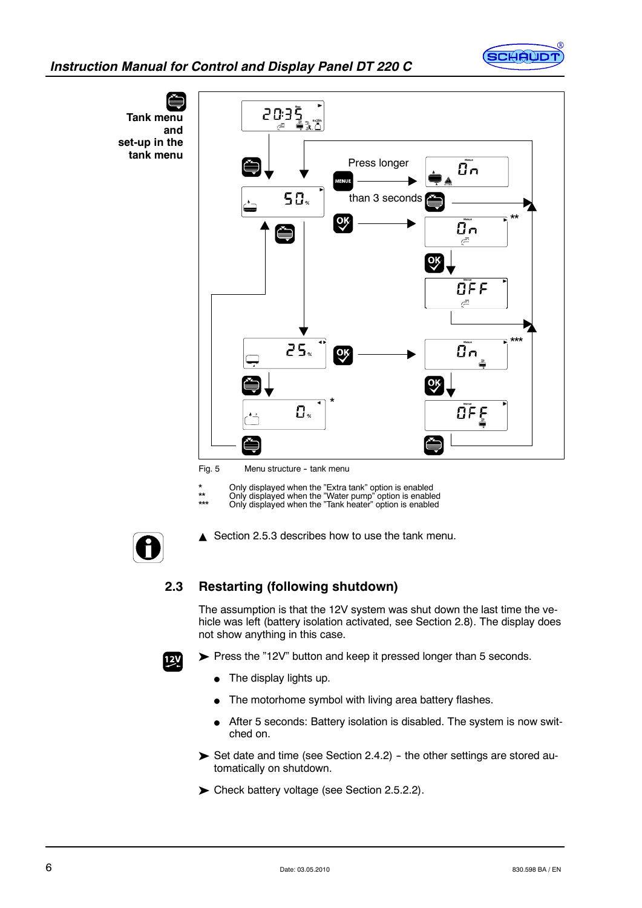

# *Instruction Manual for Control and Display Panel DT 220 C*



Fig. 5 Menu structure - tank menu

\* Only displayed when the "Extra tank" option is enabled \*\* Only displayed when the "Water pump" option is enabled \*\*\* Only displayed when the "Tank heater" option is enabled



Section 2.5.3 describes how to use the tank menu.

# **2.3 Restarting (following shutdown)**

The assumption is that the 12V system was shut down the last time the vehicle was left (battery isolation activated, see Section 2.8). The display does not show anything in this case.



Press the "12V" button and keep it pressed longer than 5 seconds.

- $\bullet$  The display lights up.
- The motorhome symbol with living area battery flashes.
- **After 5 seconds: Battery isolation is disabled. The system is now swit**ched on.
- $\triangleright$  Set date and time (see Section 2.4.2) the other settings are stored automatically on shutdown.
- Check battery voltage (see Section 2.5.2.2).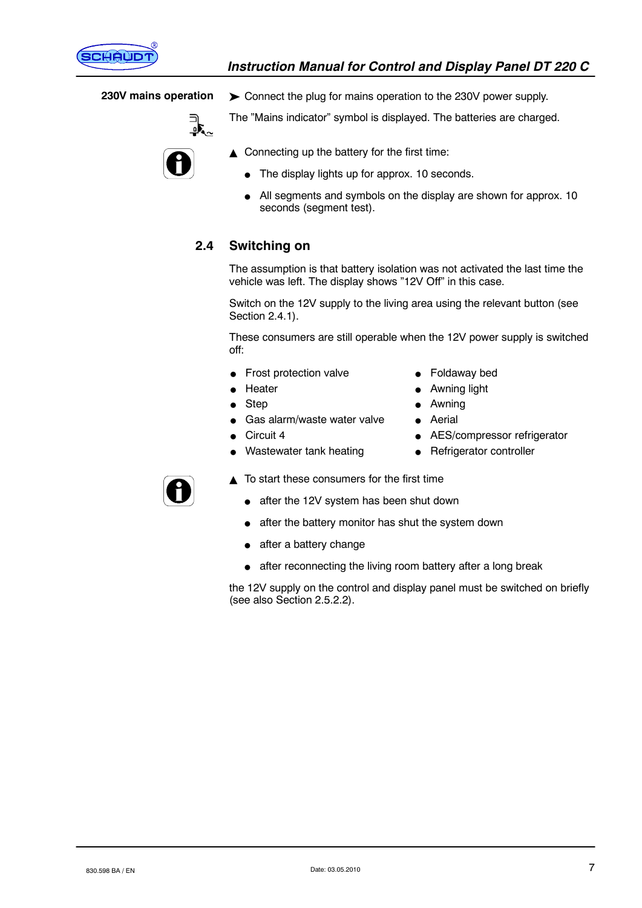

#### **230V mains operation**



Connect the plug for mains operation to the 230V power supply.

The "Mains indicator" symbol is displayed. The batteries are charged.



- $\triangle$  Connecting up the battery for the first time:
	- $\bullet$  The display lights up for approx. 10 seconds.
	- All segments and symbols on the display are shown for approx. 10 seconds (segment test).

# **2.4 Switching on**

The assumption is that battery isolation was not activated the last time the vehicle was left. The display shows "12V Off" in this case.

Switch on the 12V supply to the living area using the relevant button (see Section 2.4.1).

These consumers are still operable when the 12V power supply is switched off:

- $\bullet$  Frost protection valve
	- Heater
- Step
- Gas alarm/waste water valve
- Circuit 4
- Wastewater tank heating
- Foldaway bed
- Awning light
- Awning
- **Aerial**
- AES/compressor refrigerator
- $\bullet$  Refrigerator controller



- $\triangle$  To start these consumers for the first time
	- after the 12V system has been shut down
	- after the battery monitor has shut the system down
	- $\bullet$  after a battery change
	- $\bullet$  after reconnecting the living room battery after a long break

the 12V supply on the control and display panel must be switched on briefly (see also Section 2.5.2.2).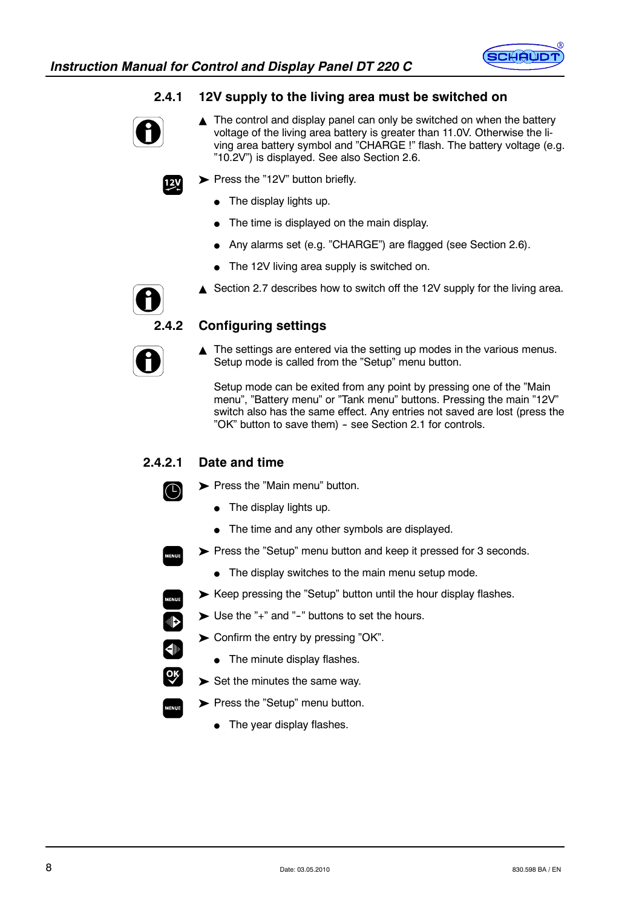

# **2.4.1 12V supply to the living area must be switched on**



 $12<sub>V</sub>$ 

- $\triangle$  The control and display panel can only be switched on when the battery voltage of the living area battery is greater than 11.0V. Otherwise the living area battery symbol and "CHARGE !" flash. The battery voltage (e.g. "10.2V") is displayed. See also Section 2.6.
- Press the "12V" button briefly.
	- $\bullet$  The display lights up.
	- $\bullet$  The time is displayed on the main display.
	- Any alarms set (e.g. "CHARGE") are flagged (see Section 2.6).
	- $\bullet$  The 12V living area supply is switched on.
	- Section 2.7 describes how to switch off the 12V supply for the living area.



# **2.4.2 Configuring settings**

 $\triangle$  The settings are entered via the setting up modes in the various menus. Setup mode is called from the "Setup" menu button.

Setup mode can be exited from any point by pressing one of the "Main menu", "Battery menu" or "Tank menu" buttons. Pressing the main "12V" switch also has the same effect. Any entries not saved are lost (press the "OK" button to save them) - see Section 2.1 for controls.

# **2.4.2.1 Date and time**

 $(\Box)$ 

 $\blacksquare$ 

 $\overline{\textbf{d}}$ 

**OR** 

- Press the "Main menu" button.
	- $\bullet$  The display lights up.
	- $\bullet$  The time and any other symbols are displayed.
- Press the "Setup" menu button and keep it pressed for 3 seconds.
	- $\bullet$  The display switches to the main menu setup mode.
- Keep pressing the "Setup" button until the hour display flashes.
- $\blacktriangleright$  Use the "+" and "-" buttons to set the hours.
- $\triangleright$  Confirm the entry by pressing "OK".
	- $\bullet$  The minute display flashes.
- $\blacktriangleright$  Set the minutes the same way.
- Press the "Setup" menu button.
	- $\bullet$  The year display flashes.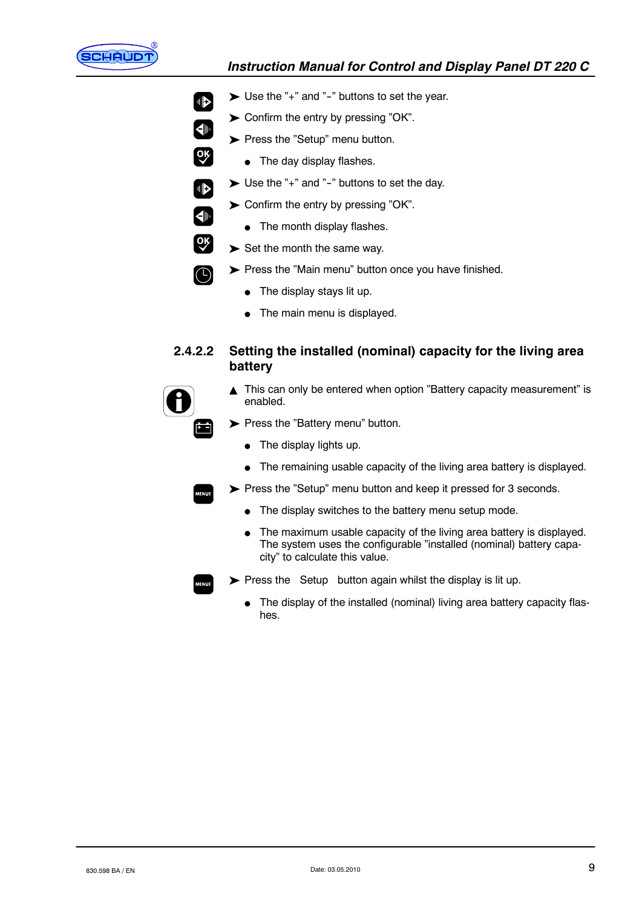

 $\blacksquare$ 

 $\overline{\blacklozenge}$ 

 $\boxed{\mathsf{OK}}$ 

 $\begin{array}{c} \begin{array}{c} \begin{array}{c} \end{array} \end{array} \end{array}$ 

 $\left( \bigoplus \nolimits$ 

 $\overline{\mathsf{X}}$ 

 $\left(\mathrm{f}\right)$ 

ضأ

# *Instruction Manual for Control and Display Panel DT 220 C*

- $\triangleright$  Use the "+" and "-" buttons to set the year.
- $\triangleright$  Confirm the entry by pressing "OK".
- Press the "Setup" menu button.
	- $\bullet$  The day display flashes.
- $\triangleright$  Use the "+" and "-" buttons to set the day.
- Confirm the entry by pressing "OK".
	- $\bullet$  The month display flashes.
- $\blacktriangleright$  Set the month the same way.
- Press the "Main menu" button once you have finished.
	- $\bullet$  The display stays lit up.
	- $\bullet$  The main menu is displayed.

# **2.4.2.2 Setting the installed (nominal) capacity for the living area battery**

- ▲ This can only be entered when option "Battery capacity measurement" is enabled.
- Press the "Battery menu" button.
	- $\bullet$  The display lights up.
	- $\bullet$  The remaining usable capacity of the living area battery is displayed.
- Press the "Setup" menu button and keep it pressed for 3 seconds.
	- $\bullet$  The display switches to the battery menu setup mode.
	- The maximum usable capacity of the living area battery is displayed. The system uses the configurable "installed (nominal) battery capacity" to calculate this value.
- $\triangleright$  Press the Setup button again whilst the display is lit up.
	- The display of the installed (nominal) living area battery capacity flashes.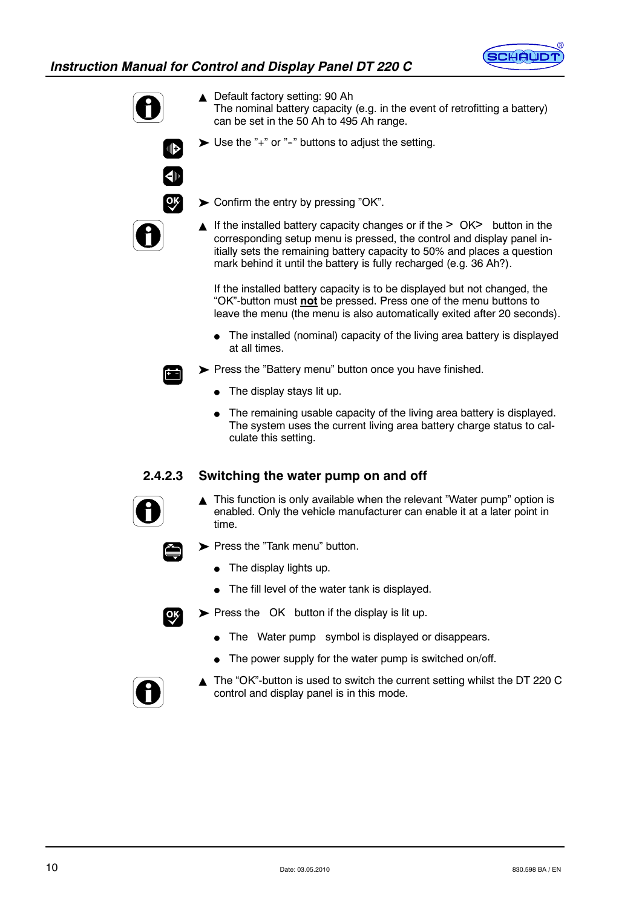



ାା⊳

▲ Default factory setting: 90 Ah

- The nominal battery capacity (e.g. in the event of retrofitting a battery) can be set in the 50 Ah to 495 Ah range.
- $\triangleright$  Use the "+" or "-" buttons to adjust the setting.



- ▶ Confirm the entry by pressing "OK".
- ▲ If the installed battery capacity changes or if the > OK> button in the corresponding setup menu is pressed, the control and display panel initially sets the remaining battery capacity to 50% and places a question mark behind it until the battery is fully recharged (e.g. 36 Ah?).

If the installed battery capacity is to be displayed but not changed, the "OK"-button must **not** be pressed. Press one of the menu buttons to leave the menu (the menu is also automatically exited after 20 seconds).

- $\bullet$  The installed (nominal) capacity of the living area battery is displayed at all times.
- Press the "Battery menu" button once you have finished.
	- $\bullet$  The display stays lit up.
	- The remaining usable capacity of the living area battery is displayed. The system uses the current living area battery charge status to calculate this setting.

# **2.4.2.3 Switching the water pump on and off**



 $\blacktriangle$  This function is only available when the relevant "Water pump" option is enabled. Only the vehicle manufacturer can enable it at a later point in time.



- Press the "Tank menu" button.
	- $\bullet$  The display lights up.
	- $\bullet$  The fill level of the water tank is displayed.



- $\triangleright$  Press the OK button if the display is lit up.
	- The Water pump symbol is displayed or disappears.
	- $\bullet$  The power supply for the water pump is switched on/off.



 $\triangle$  The "OK"-button is used to switch the current setting whilst the DT 220 C control and display panel is in this mode.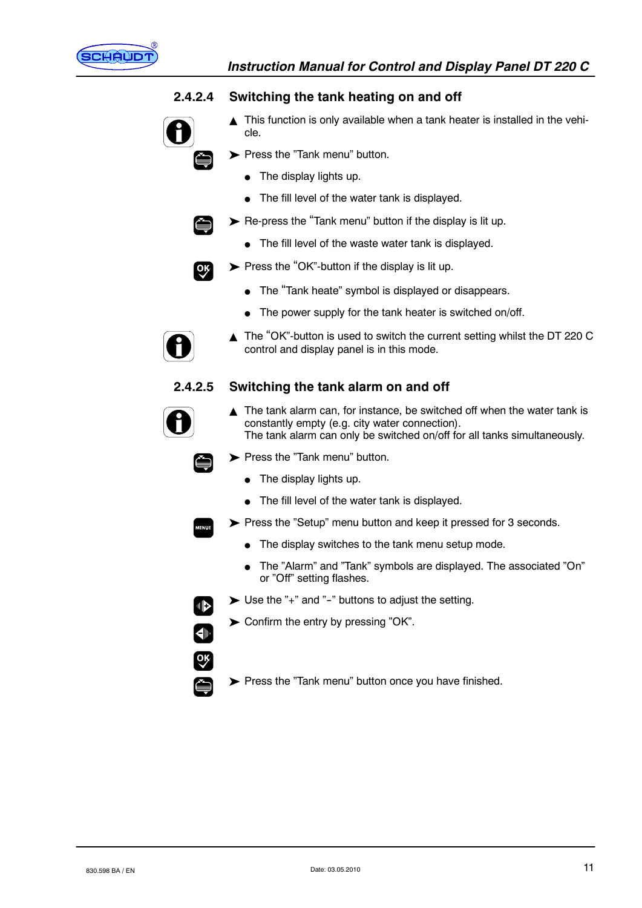

# **2.4.2.4 Switching the tank heating on and off**

- $\blacktriangle$  This function is only available when a tank heater is installed in the vehicle.
	- Press the "Tank menu" button.
		- $\bullet$  The display lights up.
		- $\bullet$  The fill level of the water tank is displayed.
- $\triangleright$  Re-press the "Tank menu" button if the display is lit up.
	- $\bullet$  The fill level of the waste water tank is displayed.



Č

- $\triangleright$  Press the "OK"-button if the display is lit up.
	- The "Tank heate" symbol is displayed or disappears.
	- $\bullet$  The power supply for the tank heater is switched on/off.



▲ The "OK"-button is used to switch the current setting whilst the DT 220 C control and display panel is in this mode.

# **2.4.2.5 Switching the tank alarm on and off**



- $\triangle$  The tank alarm can, for instance, be switched off when the water tank is constantly empty (e.g. city water connection). The tank alarm can only be switched on/off for all tanks simultaneously.
- Press the "Tank menu" button.
	- $\bullet$  The display lights up.
	- $\bullet$  The fill level of the water tank is displayed.
- Press the "Setup" menu button and keep it pressed for 3 seconds.
	- $\bullet$  The display switches to the tank menu setup mode.
	- The "Alarm" and "Tank" symbols are displayed. The associated "On" or "Off" setting flashes.



- $\triangleright$  Use the "+" and "-" buttons to adjust the setting.
- ▶ Confirm the entry by pressing "OK".
- Press the "Tank menu" button once you have finished.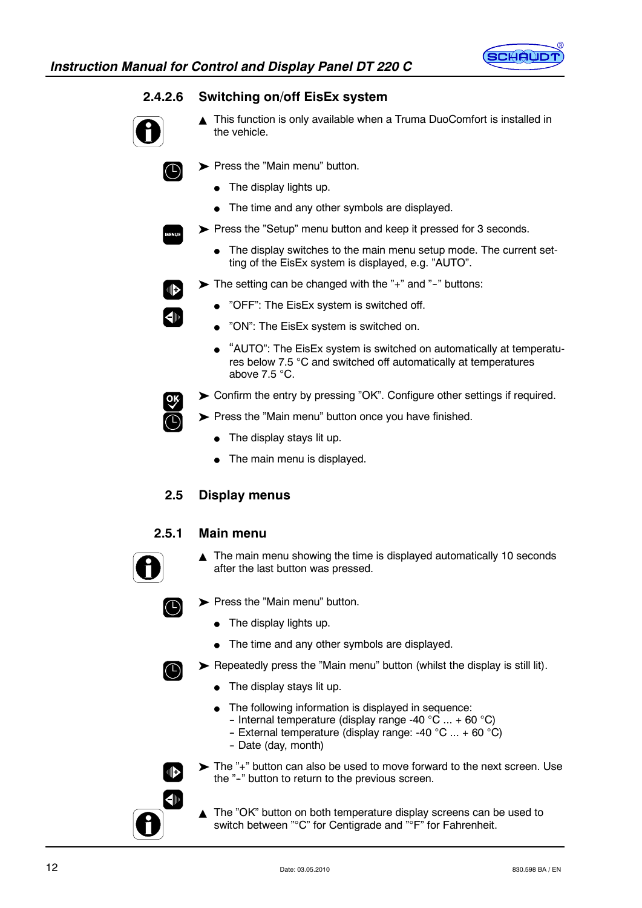

 $\Box$ 

4⊪



- ▲ This function is only available when a Truma DuoComfort is installed in the vehicle.
	- Press the "Main menu" button.
		- $\bullet$  The display lights up.
		- $\bullet$  The time and any other symbols are displayed.
- Press the "Setup" menu button and keep it pressed for 3 seconds.
	- $\bullet$  The display switches to the main menu setup mode. The current setting of the EisEx system is displayed, e.g. "AUTO".
- $\triangleright$  The setting can be changed with the "+" and "-" buttons:
	- "OFF": The EisEx system is switched off.
	- "ON": The EisEx system is switched on.
	- "AUTO": The EisEx system is switched on automatically at temperatures below 7.5 °C and switched off automatically at temperatures above  $7.5 \degree C$ .
	- Confirm the entry by pressing "OK". Configure other settings if required.

Press the "Main menu" button once you have finished.

- The display stays lit up.
- The main menu is displayed.
- **2.5 Display menus**

# **2.5.1 Main menu**

 $\triangle$  The main menu showing the time is displayed automatically 10 seconds after the last button was pressed.



 $\left( \bigcirc$ 

⊪

 $\blacksquare$ 

- Press the "Main menu" button.
	- $\bullet$  The display lights up.
	- $\bullet$  The time and any other symbols are displayed.
- Repeatedly press the "Main menu" button (whilst the display is still lit).
	- $\bullet$  The display stays lit up.
	- The following information is displayed in sequence:
		- Internal temperature (display range -40 °C  $...$  + 60 °C)
		- External temperature (display range: -40 °C  $...$  + 60 °C)
		- -- Date (day, month)
- The "+" button can also be used to move forward to the next screen. Use the "-" button to return to the previous screen.
	- The "OK" button on both temperature display screens can be used to switch between "°C" for Centigrade and "°F" for Fahrenheit.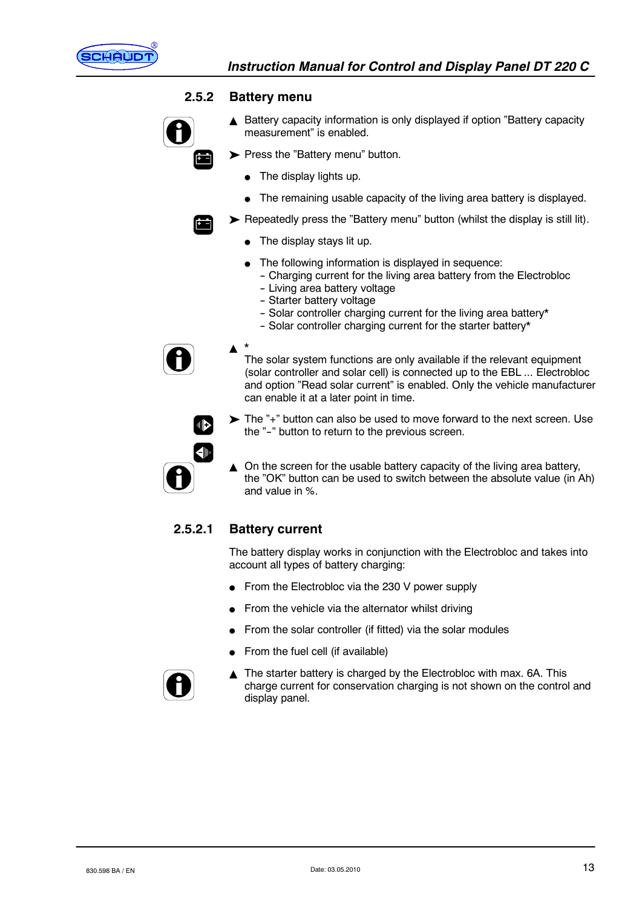

#### **2.5.2 Battery menu**



- $\triangle$  Battery capacity information is only displayed if option "Battery capacity measurement" is enabled.
- Press the "Battery menu" button.
	- The display lights up.
	- $\bullet$  The remaining usable capacity of the living area battery is displayed.

Repeatedly press the "Battery menu" button (whilst the display is still lit).

- The display stays lit up.
- The following information is displayed in sequence:
	- Charging current for the living area battery from the Electrobloc
	- Living area battery voltage
	- Starter battery voltage
	- Solar controller charging current for the living area battery\*
	- Solar controller charging current for the starter battery\*



The solar system functions are only available if the relevant equipment (solar controller and solar cell) is connected up to the EBL ... Electrobloc and option "Read solar current" is enabled. Only the vehicle manufacturer can enable it at a later point in time.

▶ The "+" button can also be used to move forward to the next screen. Use the "-" button to return to the previous screen.



 $\triangle$  On the screen for the usable battery capacity of the living area battery, the "OK" button can be used to switch between the absolute value (in Ah) and value in %.

# **2.5.2.1 Battery current**

 $\blacktriangle$ 

The battery display works in conjunction with the Electrobloc and takes into account all types of battery charging:

- From the Electrobloc via the 230 V power supply
- From the vehicle via the alternator whilst driving
- From the solar controller (if fitted) via the solar modules
- From the fuel cell (if available)



 $\triangle$  The starter battery is charged by the Electrobloc with max. 6A. This charge current for conservation charging is not shown on the control and display panel.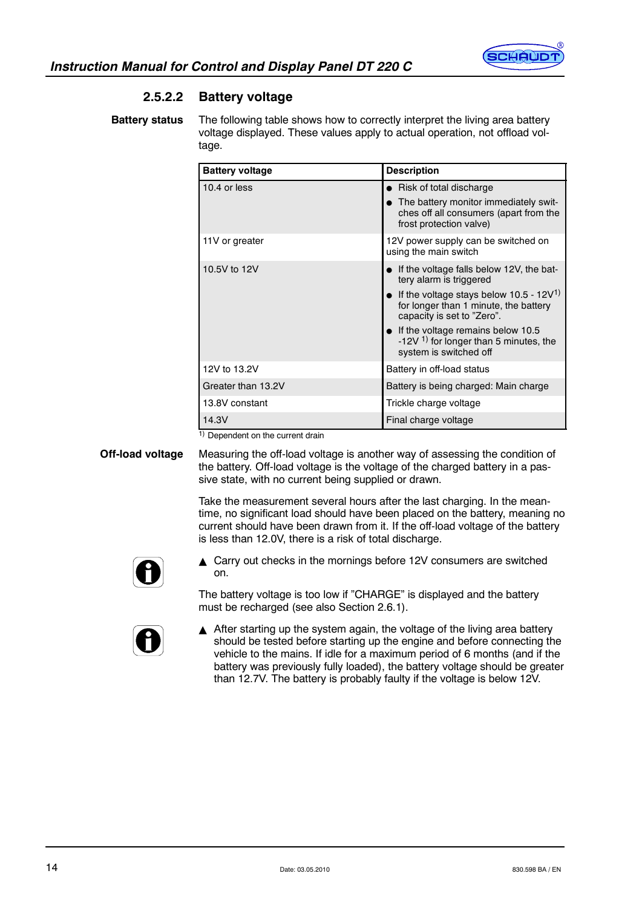

# **2.5.2.2 Battery voltage**

The following table shows how to correctly interpret the living area battery voltage displayed. These values apply to actual operation, not offload voltage. **Battery status**

| <b>Battery voltage</b> | <b>Description</b>                                                                                                         |
|------------------------|----------------------------------------------------------------------------------------------------------------------------|
| 10.4 or less           | • Risk of total discharge                                                                                                  |
|                        | The battery monitor immediately swit-<br>ches off all consumers (apart from the<br>frost protection valve)                 |
| 11V or greater         | 12V power supply can be switched on<br>using the main switch                                                               |
| 10.5V to 12V           | If the voltage falls below 12V, the bat-<br>tery alarm is triggered                                                        |
|                        | If the voltage stays below 10.5 - 12V <sup>1)</sup><br>for longer than 1 minute, the battery<br>capacity is set to "Zero". |
|                        | If the voltage remains below 10.5<br>-12V $1$ for longer than 5 minutes, the<br>system is switched off                     |
| 12V to 13.2V           | Battery in off-load status                                                                                                 |
| Greater than 13.2V     | Battery is being charged: Main charge                                                                                      |
| 13.8V constant         | Trickle charge voltage                                                                                                     |
| 14.3V                  | Final charge voltage                                                                                                       |

1) Dependent on the current drain

**Off-load voltage**

Measuring the off-load voltage is another way of assessing the condition of the battery. Off-load voltage is the voltage of the charged battery in a passive state, with no current being supplied or drawn.

Take the measurement several hours after the last charging. In the meantime, no significant load should have been placed on the battery, meaning no current should have been drawn from it. If the off-load voltage of the battery is less than 12.0V, there is a risk of total discharge.



 $\triangle$  Carry out checks in the mornings before 12V consumers are switched on.

The battery voltage is too low if "CHARGE" is displayed and the battery must be recharged (see also Section 2.6.1).



 $\triangle$  After starting up the system again, the voltage of the living area battery should be tested before starting up the engine and before connecting the vehicle to the mains. If idle for a maximum period of 6 months (and if the battery was previously fully loaded), the battery voltage should be greater than 12.7V. The battery is probably faulty if the voltage is below 12V.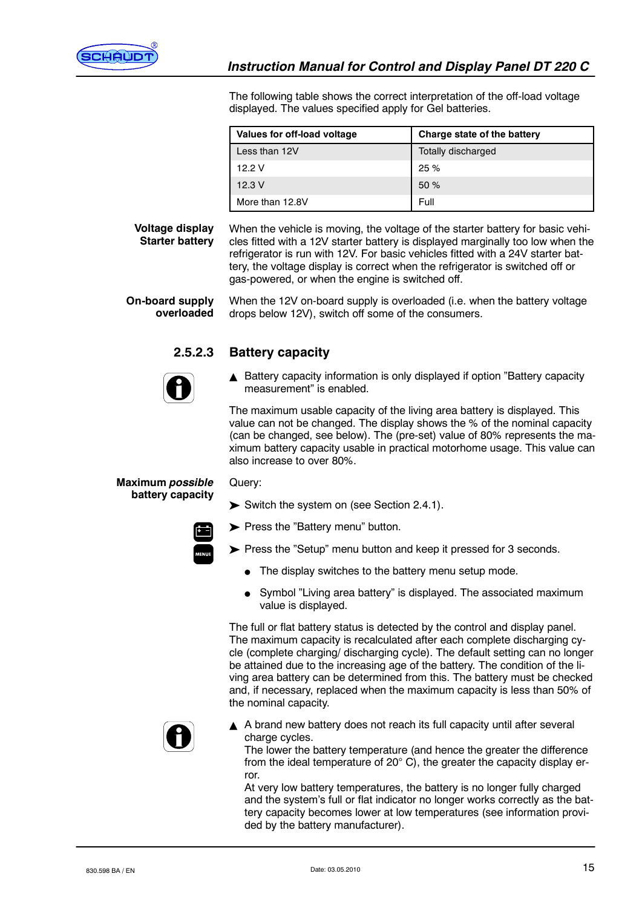

The following table shows the correct interpretation of the off-load voltage displayed. The values specified apply for Gel batteries.

| Values for off-load voltage | Charge state of the battery |  |  |
|-----------------------------|-----------------------------|--|--|
| Less than 12V               | Totally discharged          |  |  |
| 12.2V                       | 25%                         |  |  |
| 12.3V                       | 50%                         |  |  |
| More than 12.8V             | Full                        |  |  |

**Voltage display Starter battery**

When the vehicle is moving, the voltage of the starter battery for basic vehicles fitted with a 12V starter battery is displayed marginally too low when the refrigerator is run with 12V. For basic vehicles fitted with a 24V starter battery, the voltage display is correct when the refrigerator is switched off or gas-powered, or when the engine is switched off.

When the 12V on-board supply is overloaded (i.e. when the battery voltage drops below 12V), switch off some of the consumers. **On-board supply overloaded**

### **2.5.2.3 Battery capacity**

Query:



▲ Battery capacity information is only displayed if option "Battery capacity measurement" is enabled.

The maximum usable capacity of the living area battery is displayed. This value can not be changed. The display shows the % of the nominal capacity (can be changed, see below). The (pre-set) value of 80% represents the maximum battery capacity usable in practical motorhome usage. This value can also increase to over 80%.

**Maximum** *possible* **battery capacity**

Switch the system on (see Section 2.4.1).

Press the "Battery menu" button.

Press the "Setup" menu button and keep it pressed for 3 seconds.

- The display switches to the battery menu setup mode.
- Symbol "Living area battery" is displayed. The associated maximum value is displayed.

The full or flat battery status is detected by the control and display panel. The maximum capacity is recalculated after each complete discharging cycle (complete charging/ discharging cycle). The default setting can no longer be attained due to the increasing age of the battery. The condition of the living area battery can be determined from this. The battery must be checked and, if necessary, replaced when the maximum capacity is less than 50% of the nominal capacity.



A brand new battery does not reach its full capacity until after several charge cycles.

The lower the battery temperature (and hence the greater the difference from the ideal temperature of  $20^{\circ}$  C), the greater the capacity display error.

At very low battery temperatures, the battery is no longer fully charged and the system's full or flat indicator no longer works correctly as the battery capacity becomes lower at low temperatures (see information provided by the battery manufacturer).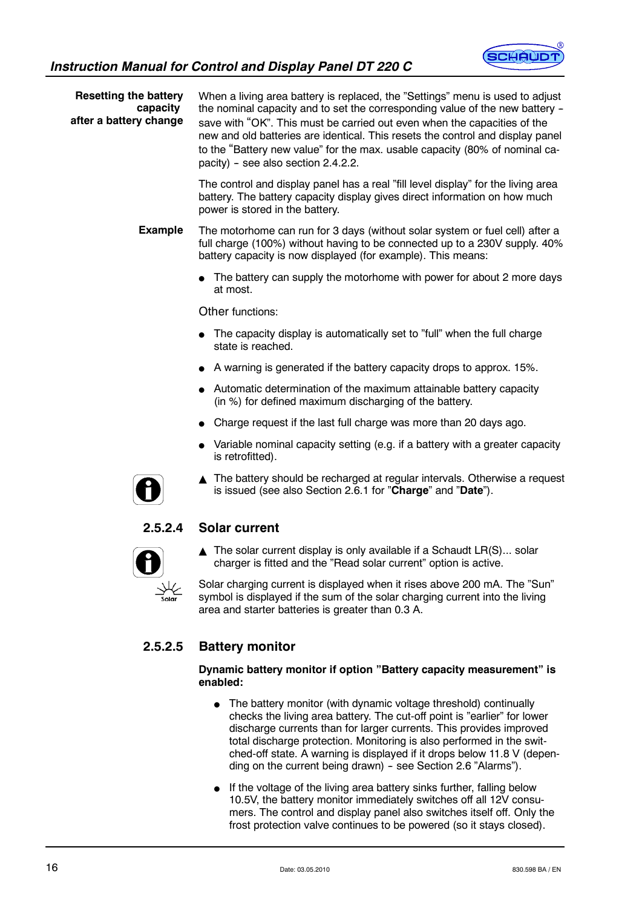

**Resetting the battery capacity after a battery change** When a living area battery is replaced, the "Settings" menu is used to adjust the nominal capacity and to set the corresponding value of the new battery save with "OK". This must be carried out even when the capacities of the new and old batteries are identical. This resets the control and display panel to the "Battery new value" for the max. usable capacity (80% of nominal ca $p_{\text{active}}$  - see also section 2.4.2.2.

The control and display panel has a real "fill level display" for the living area battery. The battery capacity display gives direct information on how much power is stored in the battery.

The motorhome can run for 3 days (without solar system or fuel cell) after a full charge (100%) without having to be connected up to a 230V supply. 40% battery capacity is now displayed (for example). This means: **Example**

> $\bullet$  The battery can supply the motorhome with power for about 2 more days at most.

Other functions:

- $\bullet$  The capacity display is automatically set to "full" when the full charge state is reached.
- $\bullet$  A warning is generated if the battery capacity drops to approx. 15%.
- Automatic determination of the maximum attainable battery capacity (in %) for defined maximum discharging of the battery.
- Charge request if the last full charge was more than 20 days ago.
- Variable nominal capacity setting (e.g. if a battery with a greater capacity is retrofitted).



 $\triangle$  The battery should be recharged at regular intervals. Otherwise a request is issued (see also Section 2.6.1 for "**Charge**" and "**Date**").

# **2.5.2.4 Solar current**



 $\triangle$  The solar current display is only available if a Schaudt LR(S)... solar charger is fitted and the "Read solar current" option is active.

Solar charging current is displayed when it rises above 200 mA. The "Sun" symbol is displayed if the sum of the solar charging current into the living area and starter batteries is greater than 0.3 A.

# **2.5.2.5 Battery monitor**

#### **Dynamic battery monitor if option "Battery capacity measurement" is enabled:**

- The battery monitor (with dynamic voltage threshold) continually checks the living area battery. The cut-off point is "earlier" for lower discharge currents than for larger currents. This provides improved total discharge protection. Monitoring is also performed in the switched-off state. A warning is displayed if it drops below 11.8 V (depending on the current being drawn) - see Section 2.6 "Alarms").
- If the voltage of the living area battery sinks further, falling below 10.5V, the battery monitor immediately switches off all 12V consumers. The control and display panel also switches itself off. Only the frost protection valve continues to be powered (so it stays closed).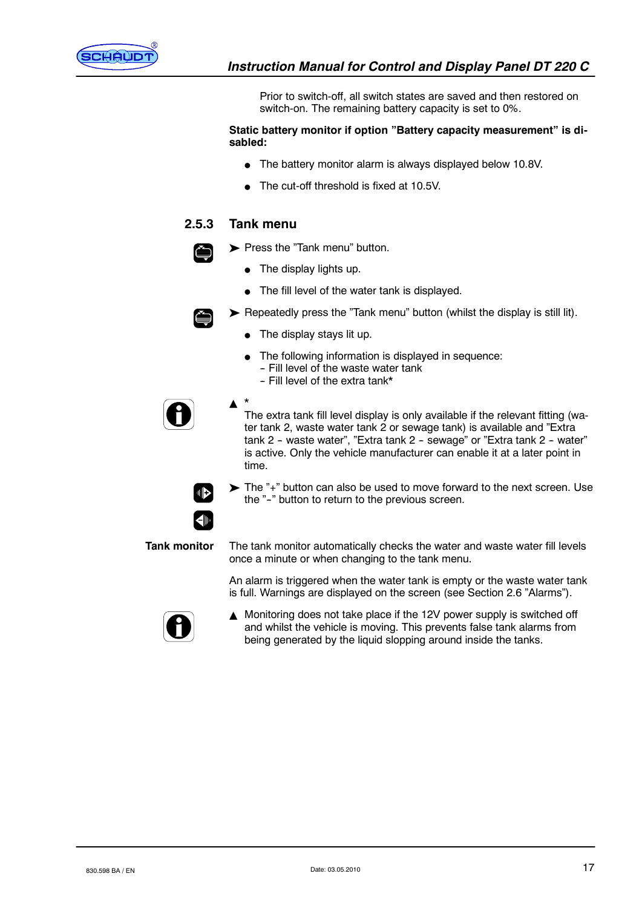

Prior to switch-off, all switch states are saved and then restored on switch-on. The remaining battery capacity is set to 0%.

**Static battery monitor if option "Battery capacity measurement" is disabled:**

- $\bullet$  The battery monitor alarm is always displayed below 10.8V.
- The cut-off threshold is fixed at 10.5V.

#### **2.5.3 Tank menu**

- Press the "Tank menu" button.
	- The display lights up.
	- The fill level of the water tank is displayed.



- Repeatedly press the "Tank menu" button (whilst the display is still lit).
	- The display stays lit up.
		- The following information is displayed in sequence: - Fill level of the waste water tank
			- Fill level of the extra tank\*



 $\blacktriangle$   $*$ The extra tank fill level display is only available if the relevant fitting (water tank 2, waste water tank 2 or sewage tank) is available and "Extra tank 2 - waste water", "Extra tank 2 - sewage" or "Extra tank 2 - water" is active. Only the vehicle manufacturer can enable it at a later point in time.



The "+" button can also be used to move forward to the next screen. Use the "-" button to return to the previous screen.



The tank monitor automatically checks the water and waste water fill levels once a minute or when changing to the tank menu.

An alarm is triggered when the water tank is empty or the waste water tank is full. Warnings are displayed on the screen (see Section 2.6 "Alarms").



▲ Monitoring does not take place if the 12V power supply is switched off and whilst the vehicle is moving. This prevents false tank alarms from being generated by the liquid slopping around inside the tanks.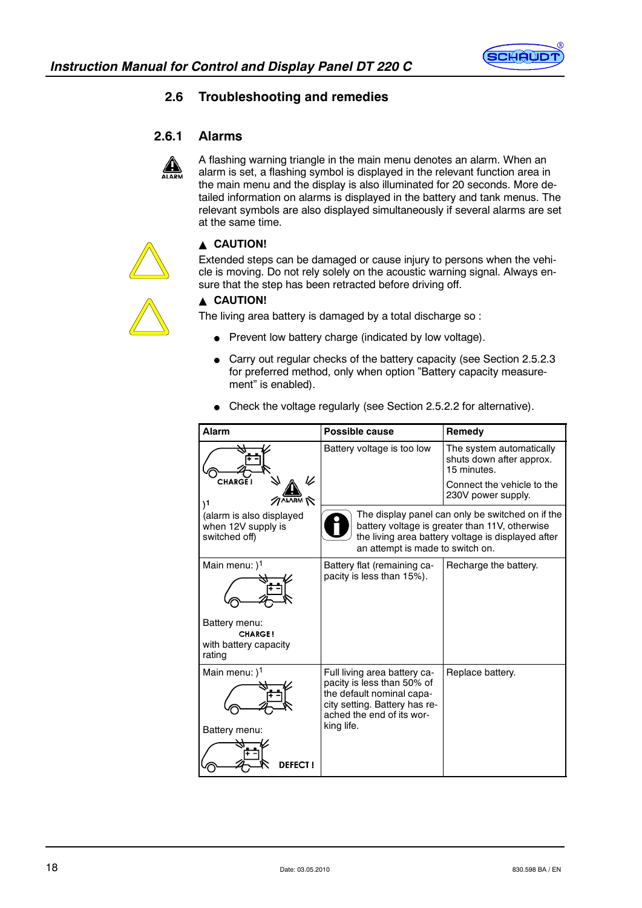

# **2.6 Troubleshooting and remedies**

# **2.6.1 Alarms**



A flashing warning triangle in the main menu denotes an alarm. When an alarm is set, a flashing symbol is displayed in the relevant function area in the main menu and the display is also illuminated for 20 seconds. More detailed information on alarms is displayed in the battery and tank menus. The relevant symbols are also displayed simultaneously if several alarms are set at the same time.



#### **A CAUTION!**

Extended steps can be damaged or cause injury to persons when the vehicle is moving. Do not rely solely on the acoustic warning signal. Always ensure that the step has been retracted before driving off.



# **A CAUTION!**

The living area battery is damaged by a total discharge so :

- $\bullet$  Prevent low battery charge (indicated by low voltage).
- Carry out regular checks of the battery capacity (see Section 2.5.2.3 for preferred method, only when option "Battery capacity measurement" is enabled).
- Check the voltage regularly (see Section 2.5.2.2 for alternative).

| Alarm                                                                                  | Possible cause                                                                                                                                                      | Remedy                                                                                                                                                   |
|----------------------------------------------------------------------------------------|---------------------------------------------------------------------------------------------------------------------------------------------------------------------|----------------------------------------------------------------------------------------------------------------------------------------------------------|
| <b>CHARGE!</b>                                                                         | Battery voltage is too low                                                                                                                                          | The system automatically<br>shuts down after approx.<br>15 minutes.<br>Connect the vehicle to the<br>230V power supply.                                  |
| 11<br>(alarm is also displayed<br>when 12V supply is<br>switched off)                  | an attempt is made to switch on.                                                                                                                                    | The display panel can only be switched on if the<br>battery voltage is greater than 11V, otherwise<br>the living area battery voltage is displayed after |
| Main menu: $)^1$<br>Battery menu:<br><b>CHARGE!</b><br>with battery capacity<br>rating | Battery flat (remaining ca-<br>pacity is less than 15%).                                                                                                            | Recharge the battery.                                                                                                                                    |
| Main menu: $)^1$<br>Battery menu:<br><b>DEFECT I</b>                                   | Full living area battery ca-<br>pacity is less than 50% of<br>the default nominal capa-<br>city setting. Battery has re-<br>ached the end of its wor-<br>king life. | Replace battery.                                                                                                                                         |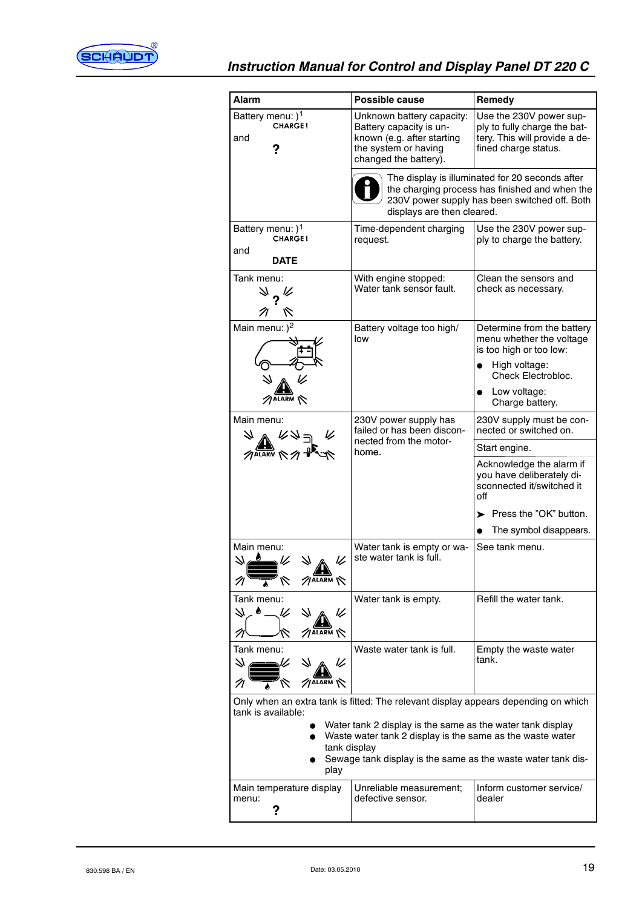

| Alarm                                                                                                                                                                                                                                 | Possible cause                                                                                                                                                                   | Remedy                                                                                                           |  |  |
|---------------------------------------------------------------------------------------------------------------------------------------------------------------------------------------------------------------------------------------|----------------------------------------------------------------------------------------------------------------------------------------------------------------------------------|------------------------------------------------------------------------------------------------------------------|--|--|
| Battery menu: ) <sup>1</sup><br><b>CHARGE!</b><br>and                                                                                                                                                                                 | Unknown battery capacity:<br>Battery capacity is un-<br>known (e.g. after starting<br>the system or having<br>changed the battery).                                              | Use the 230V power sup-<br>ply to fully charge the bat-<br>tery. This will provide a de-<br>fined charge status. |  |  |
|                                                                                                                                                                                                                                       | The display is illuminated for 20 seconds after<br>the charging process has finished and when the<br>230V power supply has been switched off. Both<br>displays are then cleared. |                                                                                                                  |  |  |
| Battery menu: ) <sup>1</sup><br><b>CHARGE!</b><br>and<br><b>DATE</b>                                                                                                                                                                  | Time-dependent charging<br>request.                                                                                                                                              | Use the 230V power sup-<br>ply to charge the battery.                                                            |  |  |
| Tank menu:<br>∜ ? ह<br>R<br>N                                                                                                                                                                                                         | With engine stopped:<br>Water tank sensor fault.                                                                                                                                 | Clean the sensors and<br>check as necessary.                                                                     |  |  |
| Main menu: ) <sup>2</sup>                                                                                                                                                                                                             | Battery voltage too high/<br>low                                                                                                                                                 | Determine from the battery<br>menu whether the voltage<br>is too high or too low:                                |  |  |
|                                                                                                                                                                                                                                       |                                                                                                                                                                                  | High voltage:<br>Check Electrobloc.                                                                              |  |  |
| $\not$ alarm $\not\sim$                                                                                                                                                                                                               |                                                                                                                                                                                  | Low voltage:<br>Charge battery.                                                                                  |  |  |
| Main menu:                                                                                                                                                                                                                            | 230V power supply has<br>failed or has been discon-                                                                                                                              | 230V supply must be con-<br>nected or switched on.                                                               |  |  |
| $\sqrt{\text{ALARM}}$                                                                                                                                                                                                                 | nected from the motor-<br>home.                                                                                                                                                  | Start engine.                                                                                                    |  |  |
|                                                                                                                                                                                                                                       |                                                                                                                                                                                  | Acknowledge the alarm if<br>you have deliberately di-<br>sconnected it/switched it<br>off                        |  |  |
|                                                                                                                                                                                                                                       |                                                                                                                                                                                  | > Press the "OK" button.                                                                                         |  |  |
|                                                                                                                                                                                                                                       |                                                                                                                                                                                  | The symbol disappears.                                                                                           |  |  |
| Main menu:<br>レ<br>$\mathscr{D}$ ALARM                                                                                                                                                                                                | Water tank is empty or wa-<br>ste water tank is full.                                                                                                                            | See tank menu.                                                                                                   |  |  |
| Tank menu:<br>71<br>V<br>V                                                                                                                                                                                                            | Water tank is empty.                                                                                                                                                             | Refill the water tank.                                                                                           |  |  |
| Tank menu:                                                                                                                                                                                                                            | Waste water tank is full.                                                                                                                                                        | Empty the waste water<br>tank.                                                                                   |  |  |
|                                                                                                                                                                                                                                       | Only when an extra tank is fitted: The relevant display appears depending on which                                                                                               |                                                                                                                  |  |  |
| tank is available:<br>Water tank 2 display is the same as the water tank display<br>Waste water tank 2 display is the same as the waste water<br>tank display<br>Sewage tank display is the same as the waste water tank dis-<br>play |                                                                                                                                                                                  |                                                                                                                  |  |  |
| Main temperature display<br>menu:                                                                                                                                                                                                     | Unreliable measurement;<br>defective sensor.                                                                                                                                     | Inform customer service/<br>dealer                                                                               |  |  |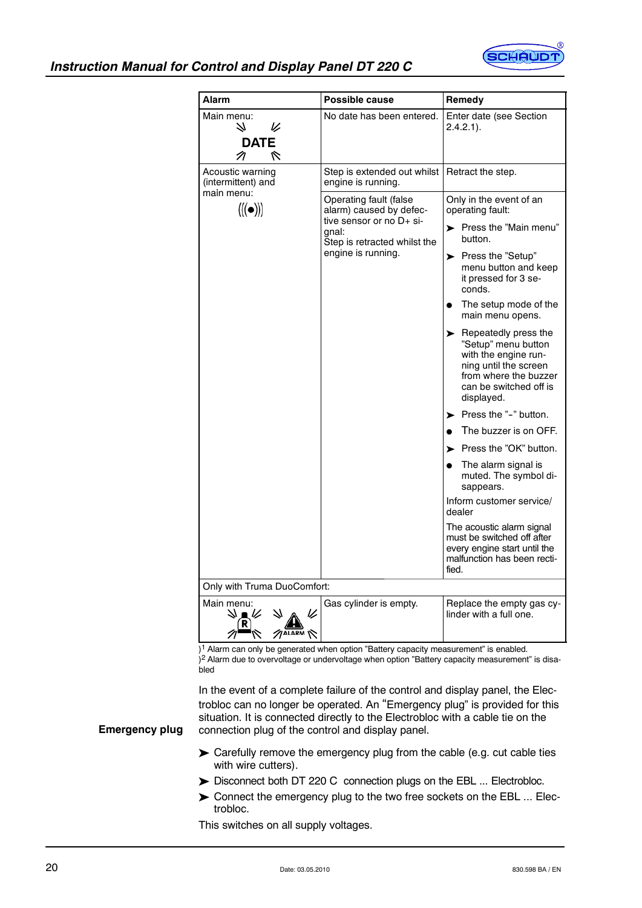

# *Instruction Manual for Control and Display Panel DT 220 C*

| <b>Alarm</b>                                    | <b>Possible cause</b>                                                                                                                        | Remedy                                                                                                                                                                              |  |  |  |
|-------------------------------------------------|----------------------------------------------------------------------------------------------------------------------------------------------|-------------------------------------------------------------------------------------------------------------------------------------------------------------------------------------|--|--|--|
| Main menu:<br>N<br>V<br><b>DATE</b><br>R<br>π   | No date has been entered.                                                                                                                    | Enter date (see Section<br>$2.4.2.1$ ).                                                                                                                                             |  |  |  |
| Acoustic warning<br>(intermittent) and          | Step is extended out whilst  <br>engine is running.                                                                                          | Retract the step.                                                                                                                                                                   |  |  |  |
| main menu:<br>$\langle (\!(\bullet)\!) \rangle$ | Operating fault (false<br>alarm) caused by defec-<br>tive sensor or no D+ si-<br>gnal:<br>Step is retracted whilst the<br>engine is running. | Only in the event of an<br>operating fault:                                                                                                                                         |  |  |  |
|                                                 |                                                                                                                                              | > Press the "Main menu"<br>button.                                                                                                                                                  |  |  |  |
|                                                 |                                                                                                                                              | ▶ Press the "Setup"<br>menu button and keep<br>it pressed for 3 se-<br>conds.                                                                                                       |  |  |  |
|                                                 |                                                                                                                                              | The setup mode of the<br>main menu opens.                                                                                                                                           |  |  |  |
|                                                 |                                                                                                                                              | $\blacktriangleright$ Repeatedly press the<br>"Setup" menu button<br>with the engine run-<br>ning until the screen<br>from where the buzzer<br>can be switched off is<br>displayed. |  |  |  |
|                                                 |                                                                                                                                              | $\blacktriangleright$ Press the "-" button.                                                                                                                                         |  |  |  |
|                                                 |                                                                                                                                              | The buzzer is on OFF.                                                                                                                                                               |  |  |  |
|                                                 |                                                                                                                                              | $\blacktriangleright$ Press the "OK" button.                                                                                                                                        |  |  |  |
|                                                 |                                                                                                                                              | The alarm signal is<br>muted. The symbol di-<br>sappears.                                                                                                                           |  |  |  |
|                                                 |                                                                                                                                              | Inform customer service/<br>dealer                                                                                                                                                  |  |  |  |
|                                                 |                                                                                                                                              | The acoustic alarm signal<br>must be switched off after<br>every engine start until the<br>malfunction has been recti-<br>fied.                                                     |  |  |  |
| Only with Truma DuoComfort:                     |                                                                                                                                              |                                                                                                                                                                                     |  |  |  |
| Main menu:<br>$\sqrt{$ ALARM                    | Gas cylinder is empty.                                                                                                                       | Replace the empty gas cy-<br>linder with a full one.                                                                                                                                |  |  |  |

 $1<sup>1</sup>$  Alarm can only be generated when option "Battery capacity measurement" is enabled.  $\hat{Q}^2$  Alarm due to overvoltage or undervoltage when option "Battery capacity measurement" is disa-

bled

In the event of a complete failure of the control and display panel, the Electrobloc can no longer be operated. An "Emergency plug" is provided for this situation. It is connected directly to the Electrobloc with a cable tie on the connection plug of the control and display panel.

#### **Emergency plug**

- Carefully remove the emergency plug from the cable (e.g. cut cable ties with wire cutters).
- Disconnect both DT 220 C connection plugs on the EBL ... Electrobloc.
- Connect the emergency plug to the two free sockets on the EBL ... Electrobloc.

This switches on all supply voltages.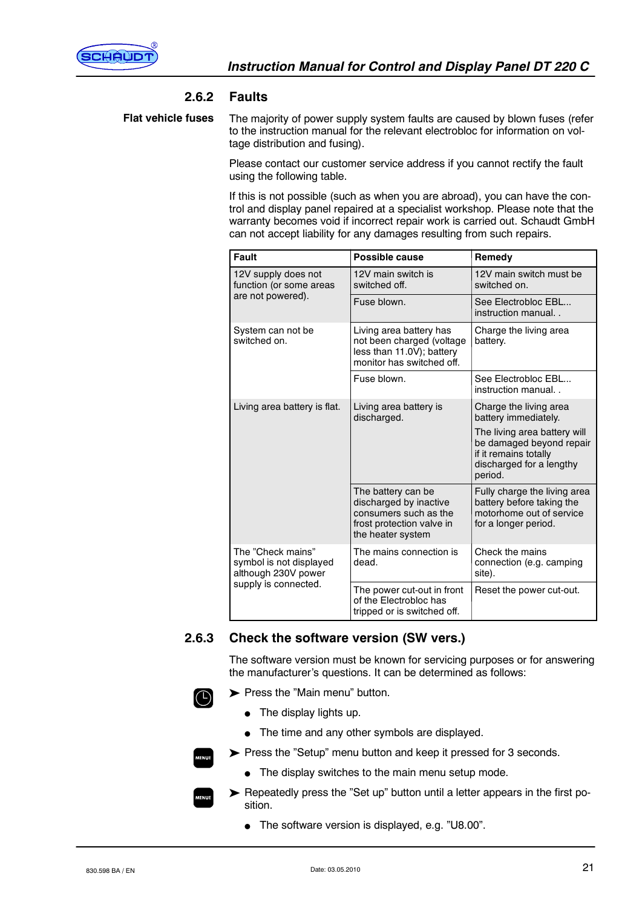

### **2.6.2 Faults**

The majority of power supply system faults are caused by blown fuses (refer to the instruction manual for the relevant electrobloc for information on voltage distribution and fusing). **Flat vehicle fuses**

> Please contact our customer service address if you cannot rectify the fault using the following table.

If this is not possible (such as when you are abroad), you can have the control and display panel repaired at a specialist workshop. Please note that the warranty becomes void if incorrect repair work is carried out. Schaudt GmbH can not accept liability for any damages resulting from such repairs.

| <b>Fault</b>                                                        | Possible cause                                                                                                          | Remedy                                                                                                                   |
|---------------------------------------------------------------------|-------------------------------------------------------------------------------------------------------------------------|--------------------------------------------------------------------------------------------------------------------------|
| 12V supply does not<br>function (or some areas                      | 12V main switch is<br>switched off.                                                                                     | 12V main switch must be<br>switched on.                                                                                  |
| are not powered).                                                   | Fuse blown.                                                                                                             | See Electrobloc EBL<br>instruction manual                                                                                |
| System can not be<br>switched on.                                   | Living area battery has<br>not been charged (voltage<br>less than 11.0V); battery<br>monitor has switched off.          | Charge the living area<br>battery.                                                                                       |
|                                                                     | Fuse blown.                                                                                                             | See Electrobloc EBL<br>instruction manual                                                                                |
| Living area battery is flat.                                        | Living area battery is<br>discharged.                                                                                   | Charge the living area<br>battery immediately.                                                                           |
|                                                                     |                                                                                                                         | The living area battery will<br>be damaged beyond repair<br>if it remains totally<br>discharged for a lengthy<br>period. |
|                                                                     | The battery can be<br>discharged by inactive<br>consumers such as the<br>frost protection valve in<br>the heater system | Fully charge the living area<br>battery before taking the<br>motorhome out of service<br>for a longer period.            |
| The "Check mains"<br>symbol is not displayed<br>although 230V power | The mains connection is<br>dead.                                                                                        | Check the mains<br>connection (e.g. camping<br>site).                                                                    |
| supply is connected.                                                | The power cut-out in front<br>of the Electrobloc has<br>tripped or is switched off.                                     | Reset the power cut-out.                                                                                                 |

# **2.6.3 Check the software version (SW vers.)**

The software version must be known for servicing purposes or for answering the manufacturer's questions. It can be determined as follows:

Press the "Main menu" button.

 $\bullet$  The display lights up.

 $\Box$ 

• The time and any other symbols are displayed.



 $\bullet$  The display switches to the main menu setup mode.

 Repeatedly press the "Set up" button until a letter appears in the first position.

The software version is displayed, e.g. "U8.00".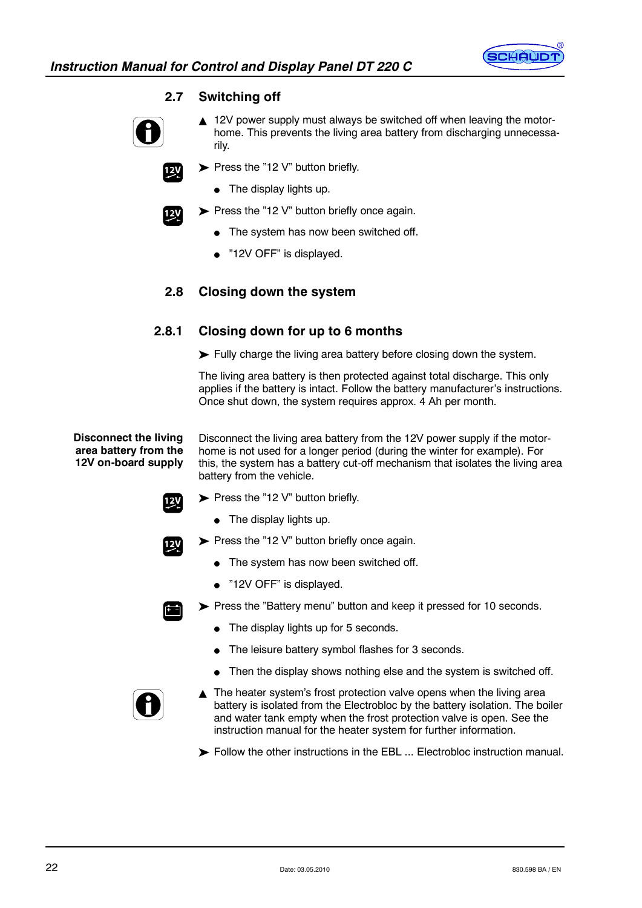

# **2.7 Switching off**



 $12<sup>V</sup>$ 

 $12<sub>y</sub>$ 

- $\triangle$  12V power supply must always be switched off when leaving the motorhome. This prevents the living area battery from discharging unnecessarily.
- $\blacktriangleright$  Press the "12 V" button briefly.
	- $\bullet$  The display lights up.
- $\triangleright$  Press the "12 V" button briefly once again.
	- The system has now been switched off.
	- $\bullet$  "12V OFF" is displayed.

# **2.8 Closing down the system**

# **2.8.1 Closing down for up to 6 months**

Fully charge the living area battery before closing down the system.

The living area battery is then protected against total discharge. This only applies if the battery is intact. Follow the battery manufacturer's instructions. Once shut down, the system requires approx. 4 Ah per month.

**Disconnect the living area battery from the 12V on-board supply**

Disconnect the living area battery from the 12V power supply if the motorhome is not used for a longer period (during the winter for example). For this, the system has a battery cut-off mechanism that isolates the living area battery from the vehicle.



 $\bullet$  The display lights up.

Press the "12 V" button briefly.



- $\triangleright$  Press the "12 V" button briefly once again.
	- $\bullet$  The system has now been switched off.
	- $\bullet$  "12V OFF" is displayed.



- Press the "Battery menu" button and keep it pressed for 10 seconds.
	- $\bullet$  The display lights up for 5 seconds.
	- The leisure battery symbol flashes for 3 seconds.
	- $\bullet$  Then the display shows nothing else and the system is switched off.



- $\blacktriangle$  The heater system's frost protection valve opens when the living area battery is isolated from the Electrobloc by the battery isolation. The boiler and water tank empty when the frost protection valve is open. See the instruction manual for the heater system for further information.
- Follow the other instructions in the EBL ... Electrobloc instruction manual.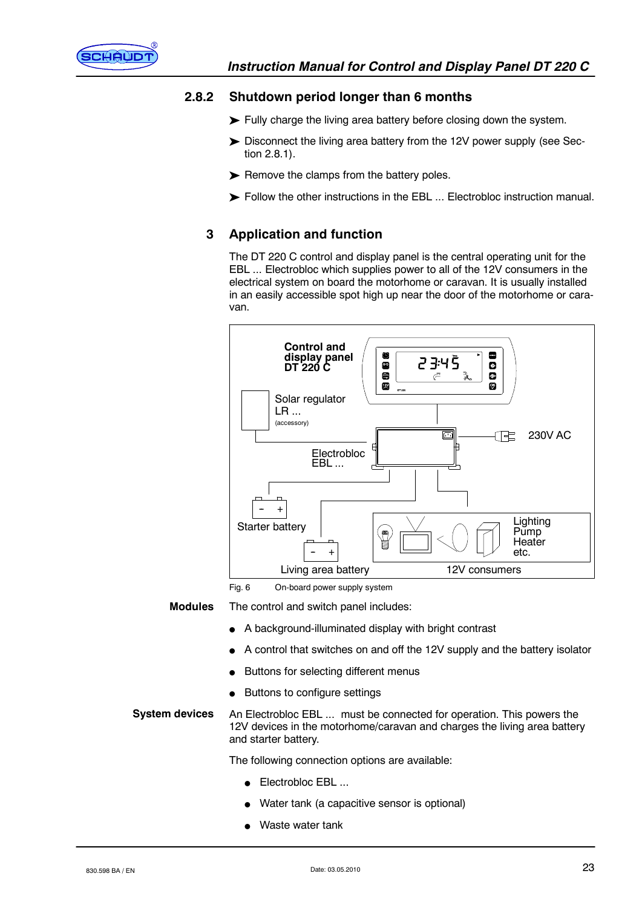

# **2.8.2 Shutdown period longer than 6 months**

- Fully charge the living area battery before closing down the system.
- Disconnect the living area battery from the 12V power supply (see Section 2.8.1).
- $\blacktriangleright$  Remove the clamps from the battery poles.
- Follow the other instructions in the EBL ... Electrobloc instruction manual.

# **3 Application and function**

The DT 220 C control and display panel is the central operating unit for the EBL ... Electrobloc which supplies power to all of the 12V consumers in the electrical system on board the motorhome or caravan. It is usually installed in an easily accessible spot high up near the door of the motorhome or caravan.



Fig. 6 On-board power supply system

**Modules**

The control and switch panel includes:

- A background-illuminated display with bright contrast
- A control that switches on and off the 12V supply and the battery isolator
- Buttons for selecting different menus
- Buttons to configure settings

# **System devices**

An Electrobloc EBL ... must be connected for operation. This powers the 12V devices in the motorhome/caravan and charges the living area battery and starter battery.

The following connection options are available:

- $\bullet$  Electrobloc EBL ...
- Water tank (a capacitive sensor is optional)
- Waste water tank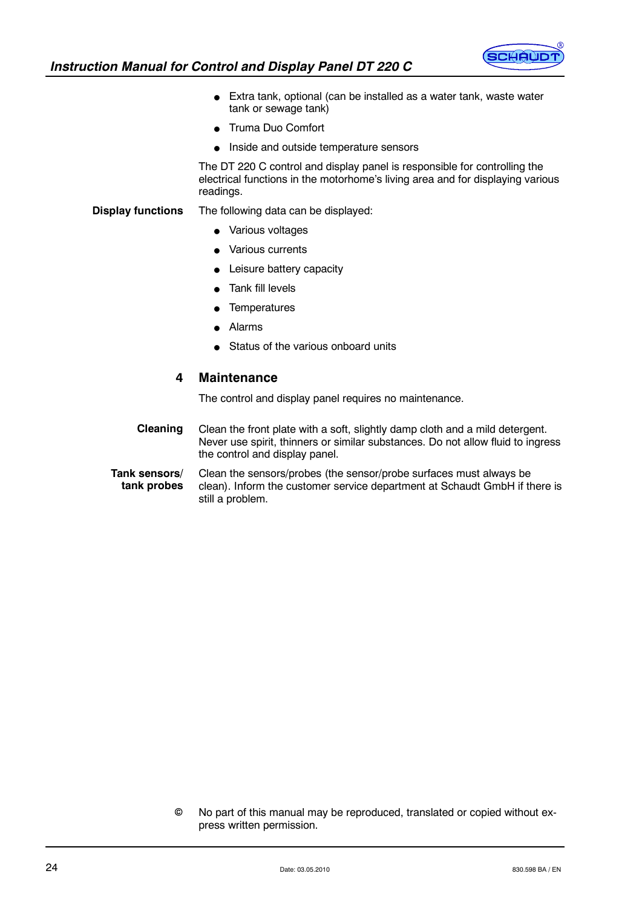

- $\bullet$  Extra tank, optional (can be installed as a water tank, waste water tank or sewage tank)
- Truma Duo Comfort
- Inside and outside temperature sensors

The DT 220 C control and display panel is responsible for controlling the electrical functions in the motorhome's living area and for displaying various readings.

#### The following data can be displayed: **Display functions**

- Various voltages
- Various currents
- Leisure battery capacity
- Tank fill levels
- **Temperatures**
- **Alarms**
- Status of the various onboard units

#### **4 Maintenance**

The control and display panel requires no maintenance.

Clean the front plate with a soft, slightly damp cloth and a mild detergent. Never use spirit, thinners or similar substances. Do not allow fluid to ingress the control and display panel. **Cleaning**

Clean the sensors/probes (the sensor/probe surfaces must always be clean). Inform the customer service department at Schaudt GmbH if there is still a problem. **Tank sensors/ tank probes**

> No part of this manual may be reproduced, translated or copied without express written permission.  $\odot$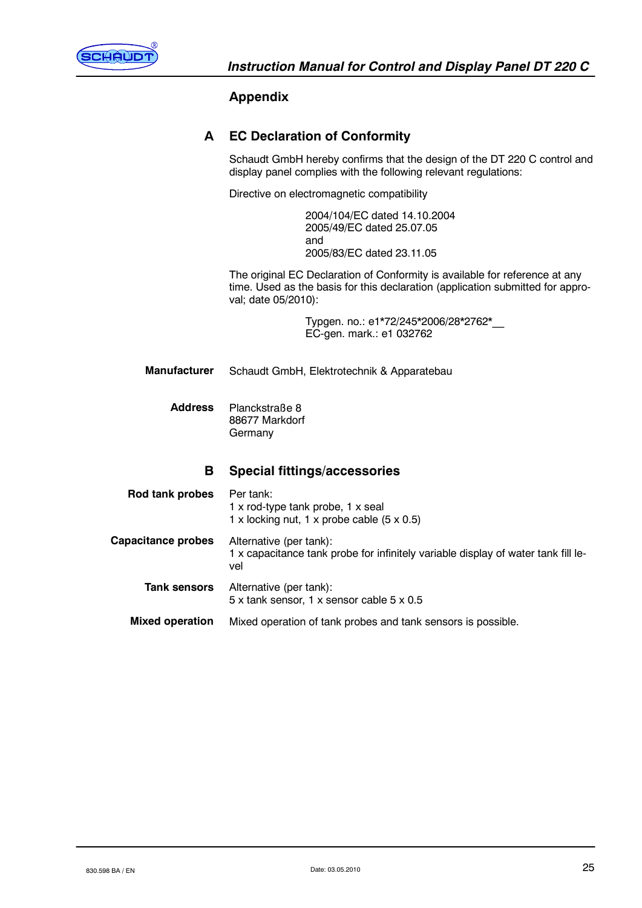

# **Appendix**

| A                      | <b>EC Declaration of Conformity</b>                                                                                                                                                  |  |  |
|------------------------|--------------------------------------------------------------------------------------------------------------------------------------------------------------------------------------|--|--|
|                        | Schaudt GmbH hereby confirms that the design of the DT 220 C control and<br>display panel complies with the following relevant regulations:                                          |  |  |
|                        | Directive on electromagnetic compatibility                                                                                                                                           |  |  |
|                        | 2004/104/EC dated 14.10.2004<br>2005/49/EC dated 25.07.05<br>and<br>2005/83/EC dated 23.11.05                                                                                        |  |  |
|                        | The original EC Declaration of Conformity is available for reference at any<br>time. Used as the basis for this declaration (application submitted for appro-<br>val; date 05/2010): |  |  |
|                        | Typgen. no.: e1*72/245*2006/28*2762*<br>EC-gen. mark.: e1 032762                                                                                                                     |  |  |
| <b>Manufacturer</b>    | Schaudt GmbH, Elektrotechnik & Apparatebau                                                                                                                                           |  |  |
| <b>Address</b>         | Planckstraße 8<br>88677 Markdorf<br>Germany                                                                                                                                          |  |  |
| В                      | <b>Special fittings/accessories</b>                                                                                                                                                  |  |  |
| <b>Rod tank probes</b> | Per tank:<br>1 x rod-type tank probe, 1 x seal                                                                                                                                       |  |  |

1 x locking nut, 1 x probe cable  $(5 \times 0.5)$ 

5 x tank sensor, 1 x sensor cable 5 x 0.5

1 x capacitance tank probe for infinitely variable display of water tank fill le-

Mixed operation of tank probes and tank sensors is possible.

Alternative (per tank):

Alternative (per tank):

vel

**Capacitance probes**

**Tank sensors**

**Mixed operation**

830.598 BA / EN  $25$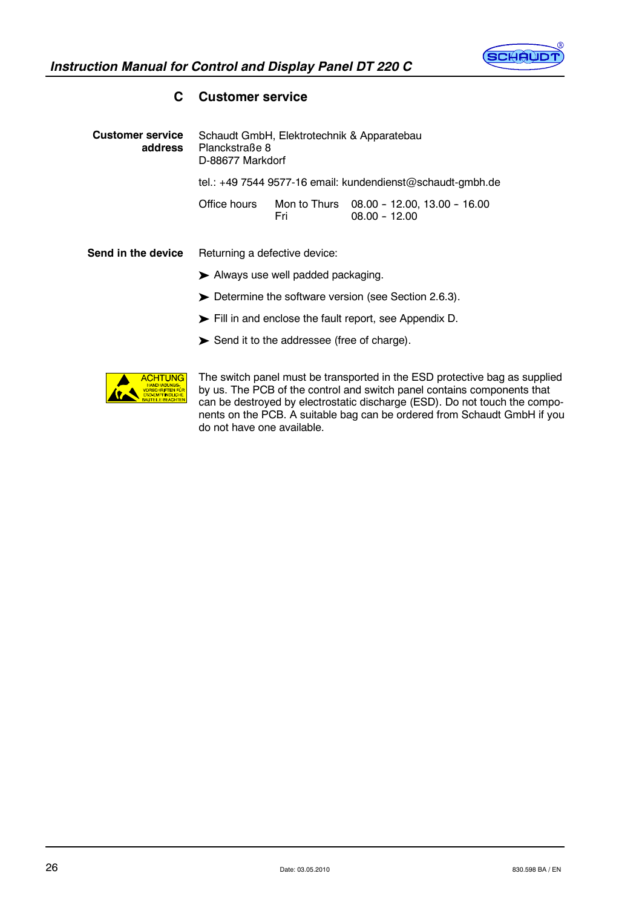

# Schaudt GmbH, Elektrotechnik & Apparatebau Planckstraße 8 D-88677 Markdorf tel.: +49 7544 9577-16 email: kundendienst@schaudt-gmbh.de Office hours Mon to Thurs 08.00 -- 12.00, 13.00 -- 16.00 Fri 08.00 - 12.00 Returning a defective device: **Customer service address Send in the device**

# **C Customer service**

- Always use well padded packaging.
- Determine the software version (see Section 2.6.3).
- Fill in and enclose the fault report, see Appendix D.
- Send it to the addressee (free of charge).



The switch panel must be transported in the ESD protective bag as supplied by us. The PCB of the control and switch panel contains components that can be destroyed by electrostatic discharge (ESD). Do not touch the components on the PCB. A suitable bag can be ordered from Schaudt GmbH if you do not have one available.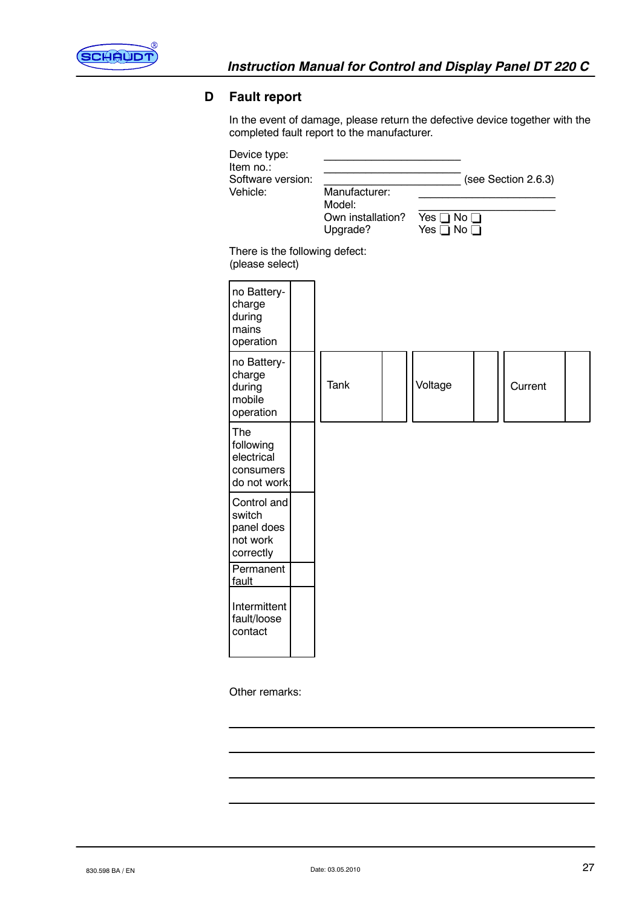

# **D Fault report**

In the event of damage, please return the defective device together with the completed fault report to the manufacturer.

| Device type:<br>Item no.:<br>Software version:<br>Vehicle:   |  | Manufacturer:<br>Model:<br>Own installation?<br>Upgrade? | Yes $\Box$ No $\Box$<br>Yes $\Box$ No $\Box$ | (see Section 2.6.3) |  |
|--------------------------------------------------------------|--|----------------------------------------------------------|----------------------------------------------|---------------------|--|
| There is the following defect:<br>(please select)            |  |                                                          |                                              |                     |  |
| no Battery-<br>charge<br>during<br>mains<br>operation        |  |                                                          |                                              |                     |  |
| no Battery-<br>charge<br>during<br>mobile<br>operation       |  | <b>Tank</b>                                              | Voltage                                      | Current             |  |
| The<br>following<br>electrical<br>consumers<br>do not work:  |  |                                                          |                                              |                     |  |
| Control and<br>switch<br>panel does<br>not work<br>correctly |  |                                                          |                                              |                     |  |
| Permanent<br>fault                                           |  |                                                          |                                              |                     |  |
| Intermittent<br>fault/loose<br>contact                       |  |                                                          |                                              |                     |  |

Other remarks: